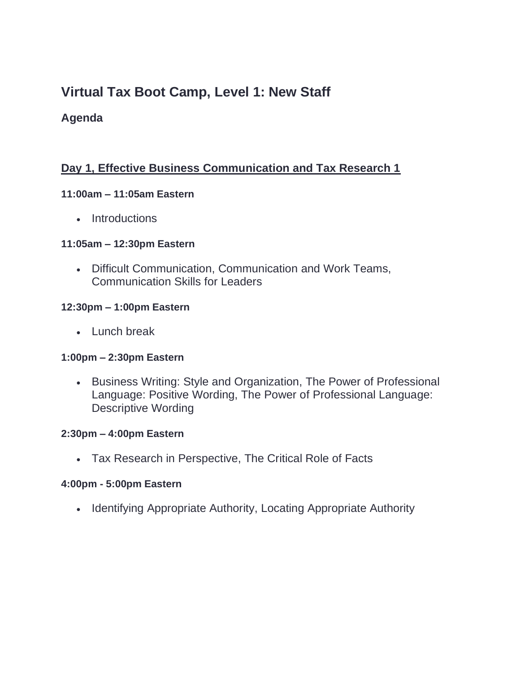# **Virtual Tax Boot Camp, Level 1: New Staff**

# **Agenda**

# **Day 1, Effective Business Communication and Tax Research 1**

#### **11:00am – 11:05am Eastern**

• Introductions

#### **11:05am – 12:30pm Eastern**

• Difficult Communication, Communication and Work Teams, Communication Skills for Leaders

#### **12:30pm – 1:00pm Eastern**

• Lunch break

#### **1:00pm – 2:30pm Eastern**

• Business Writing: Style and Organization, The Power of Professional Language: Positive Wording, The Power of Professional Language: Descriptive Wording

#### **2:30pm – 4:00pm Eastern**

• Tax Research in Perspective, The Critical Role of Facts

#### **4:00pm - 5:00pm Eastern**

• Identifying Appropriate Authority, Locating Appropriate Authority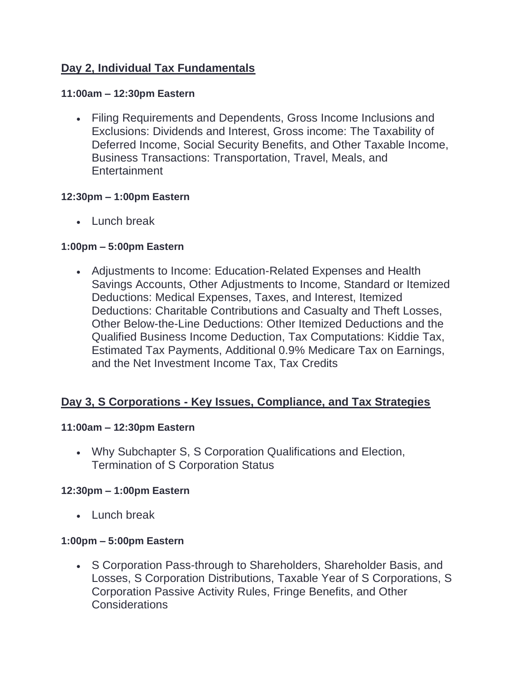# **Day 2, Individual Tax Fundamentals**

#### **11:00am – 12:30pm Eastern**

• Filing Requirements and Dependents, Gross Income Inclusions and Exclusions: Dividends and Interest, Gross income: The Taxability of Deferred Income, Social Security Benefits, and Other Taxable Income, Business Transactions: Transportation, Travel, Meals, and Entertainment

### **12:30pm – 1:00pm Eastern**

• Lunch break

## **1:00pm – 5:00pm Eastern**

• Adjustments to Income: Education-Related Expenses and Health Savings Accounts, Other Adjustments to Income, Standard or Itemized Deductions: Medical Expenses, Taxes, and Interest, Itemized Deductions: Charitable Contributions and Casualty and Theft Losses, Other Below-the-Line Deductions: Other Itemized Deductions and the Qualified Business Income Deduction, Tax Computations: Kiddie Tax, Estimated Tax Payments, Additional 0.9% Medicare Tax on Earnings, and the Net Investment Income Tax, Tax Credits

# **Day 3, S Corporations - Key Issues, Compliance, and Tax Strategies**

#### **11:00am – 12:30pm Eastern**

• Why Subchapter S, S Corporation Qualifications and Election, Termination of S Corporation Status

#### **12:30pm – 1:00pm Eastern**

• Lunch break

#### **1:00pm – 5:00pm Eastern**

• S Corporation Pass-through to Shareholders, Shareholder Basis, and Losses, S Corporation Distributions, Taxable Year of S Corporations, S Corporation Passive Activity Rules, Fringe Benefits, and Other Considerations